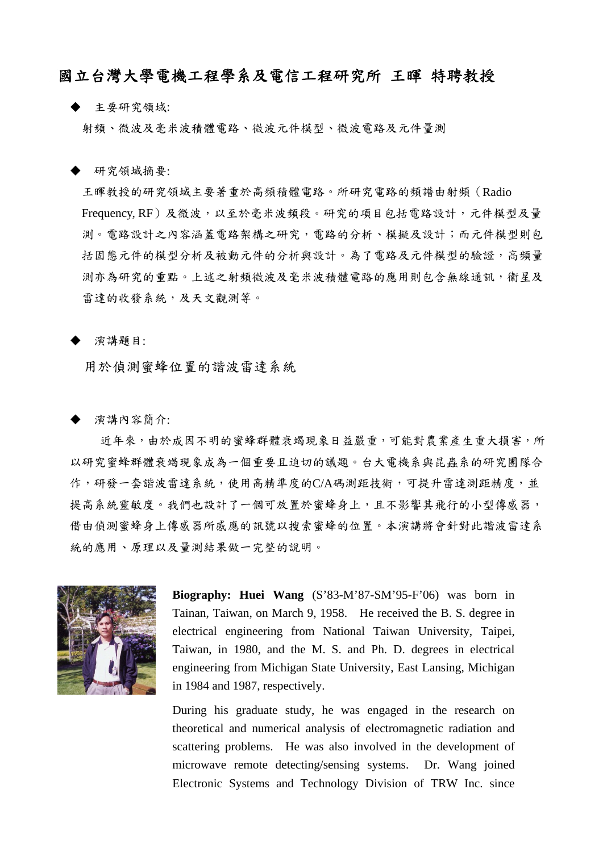## 國立台灣大學電機工程學系及電信工程研究所 王暉 特聘教授

主要研究領域:

射頻、微波及毫米波積體電路、微波元件模型、微波電路及元件量測

研究領域摘要:

王暉教授的研究領域主要著重於高頻積體電路。所研究電路的頻譜由射頻(Radio Frequency, RF)及微波,以至於毫米波頻段。研究的項目包括電路設計,元件模型及量 測。電路設計之內容涵蓋電路架構之研究,電路的分析、模擬及設計;而元件模型則包 括固態元件的模型分析及被動元件的分析與設計。為了電路及元件模型的驗證,高頻量 測亦為研究的重點。上述之射頻微波及毫米波積體電路的應用則包含無線通訊,衛星及 雷達的收發系統,及天文觀測等。

## 演講題目:

用於偵測蜜蜂位置的諧波雷達系統

演講內容簡介:

近年來,由於成因不明的蜜蜂群體衰竭現象日益嚴重,可能對農業產生重大損害,所 以研究蜜蜂群體衰竭現象成為一個重要且迫切的議題。台大電機系與昆蟲系的研究團隊合 作,研發一套諧波雷達系統,使用高精準度的C/A碼測距技術,可提升雷達測距精度,並 提高系統靈敏度。我們也設計了一個可放置於蜜蜂身上,且不影響其飛行的小型傳感器, 借由偵測蜜蜂身上傳感器所感應的訊號以搜索蜜蜂的位置。本演講將會針對此諧波雷達系 統的應用、原理以及量測結果做一完整的說明。



**Biography: Huei Wang** (S'83-M'87-SM'95-F'06) was born in Tainan, Taiwan, on March 9, 1958. He received the B. S. degree in electrical engineering from National Taiwan University, Taipei, Taiwan, in 1980, and the M. S. and Ph. D. degrees in electrical engineering from Michigan State University, East Lansing, Michigan in 1984 and 1987, respectively.

During his graduate study, he was engaged in the research on theoretical and numerical analysis of electromagnetic radiation and scattering problems. He was also involved in the development of microwave remote detecting/sensing systems. Dr. Wang joined Electronic Systems and Technology Division of TRW Inc. since